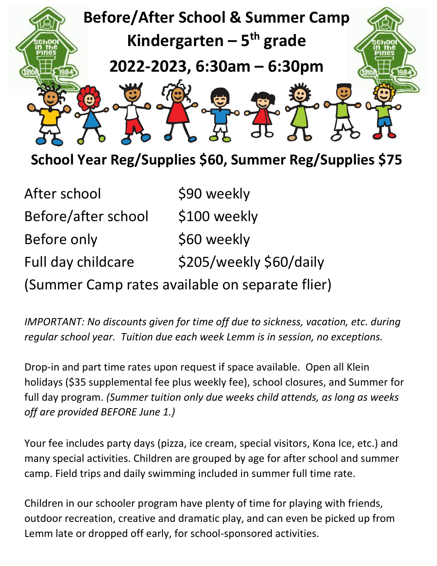

**School Year Reg/Supplies \$60, Summer Reg/Supplies \$75** 

| After school                                    | \$90 weekly             |
|-------------------------------------------------|-------------------------|
| Before/after school                             | \$100 weekly            |
| Before only                                     | \$60 weekly             |
| Full day childcare                              | \$205/weekly \$60/daily |
| (Summer Camp rates available on separate flier) |                         |

*IMPORTANT: No discounts given for time off due to sickness, vacation, etc. during regular school year. Tuition due each week Lemm is in session, no exceptions.* 

Drop-in and part time rates upon request if space available. Open all Klein holidays (\$35 supplemental fee plus weekly fee), school closures, and Summer for full day program. *(Summer tuition only due weeks child attends, as long as weeks off are provided BEFORE June 1.)* 

Your fee includes party days (pizza, ice cream, special visitors, Kona Ice, etc.) and many special activities. Children are grouped by age for after school and summer camp. Field trips and daily swimming included in summer full time rate.

Children in our schooler program have plenty of time for playing with friends, outdoor recreation, creative and dramatic play, and can even be picked up from Lemm late or dropped off early, for school-sponsored activities.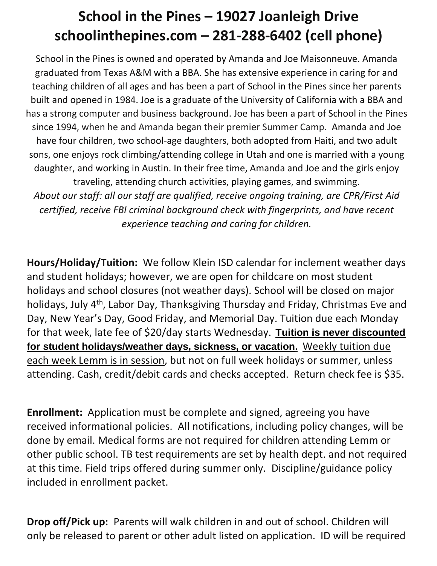## **School in the Pines – 19027 Joanleigh Drive schoolinthepines.com – 281-288-6402 (cell phone)**

School in the Pines is owned and operated by Amanda and Joe Maisonneuve. Amanda graduated from Texas A&M with a BBA. She has extensive experience in caring for and teaching children of all ages and has been a part of School in the Pines since her parents built and opened in 1984. Joe is a graduate of the University of California with a BBA and has a strong computer and business background. Joe has been a part of School in the Pines since 1994, when he and Amanda began their premier Summer Camp. Amanda and Joe have four children, two school-age daughters, both adopted from Haiti, and two adult sons, one enjoys rock climbing/attending college in Utah and one is married with a young daughter, and working in Austin. In their free time, Amanda and Joe and the girls enjoy traveling, attending church activities, playing games, and swimming. *About our staff: all our staff are qualified, receive ongoing training, are CPR/First Aid certified, receive FBI criminal background check with fingerprints, and have recent experience teaching and caring for children.* 

**Hours/Holiday/Tuition:** We follow Klein ISD calendar for inclement weather days and student holidays; however, we are open for childcare on most student holidays and school closures (not weather days). School will be closed on major holidays, July 4<sup>th</sup>, Labor Day, Thanksgiving Thursday and Friday, Christmas Eve and Day, New Year's Day, Good Friday, and Memorial Day. Tuition due each Monday for that week, late fee of \$20/day starts Wednesday. **Tuition is never discounted for student holidays/weather days, sickness, or vacation.** Weekly tuition due each week Lemm is in session, but not on full week holidays or summer, unless attending. Cash, credit/debit cards and checks accepted. Return check fee is \$35.

**Enrollment:** Application must be complete and signed, agreeing you have received informational policies. All notifications, including policy changes, will be done by email. Medical forms are not required for children attending Lemm or other public school. TB test requirements are set by health dept. and not required at this time. Field trips offered during summer only. Discipline/guidance policy included in enrollment packet.

**Drop off/Pick up:** Parents will walk children in and out of school. Children will only be released to parent or other adult listed on application. ID will be required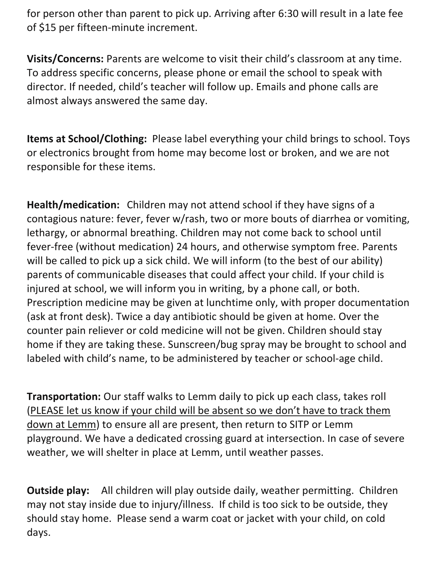for person other than parent to pick up. Arriving after 6:30 will result in a late fee of \$15 per fifteen-minute increment.

**Visits/Concerns:** Parents are welcome to visit their child's classroom at any time. To address specific concerns, please phone or email the school to speak with director. If needed, child's teacher will follow up. Emails and phone calls are almost always answered the same day.

**Items at School/Clothing:** Please label everything your child brings to school. Toys or electronics brought from home may become lost or broken, and we are not responsible for these items.

**Health/medication:** Children may not attend school if they have signs of a contagious nature: fever, fever w/rash, two or more bouts of diarrhea or vomiting, lethargy, or abnormal breathing. Children may not come back to school until fever-free (without medication) 24 hours, and otherwise symptom free. Parents will be called to pick up a sick child. We will inform (to the best of our ability) parents of communicable diseases that could affect your child. If your child is injured at school, we will inform you in writing, by a phone call, or both. Prescription medicine may be given at lunchtime only, with proper documentation (ask at front desk). Twice a day antibiotic should be given at home. Over the counter pain reliever or cold medicine will not be given. Children should stay home if they are taking these. Sunscreen/bug spray may be brought to school and labeled with child's name, to be administered by teacher or school-age child.

**Transportation:** Our staff walks to Lemm daily to pick up each class, takes roll (PLEASE let us know if your child will be absent so we don't have to track them down at Lemm) to ensure all are present, then return to SITP or Lemm playground. We have a dedicated crossing guard at intersection. In case of severe weather, we will shelter in place at Lemm, until weather passes.

**Outside play:** All children will play outside daily, weather permitting. Children may not stay inside due to injury/illness. If child is too sick to be outside, they should stay home. Please send a warm coat or jacket with your child, on cold days.